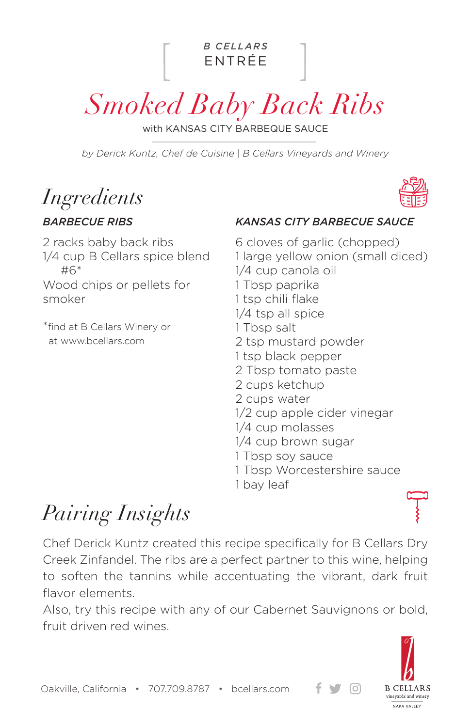

*Smoked Baby Back Ribs*

with KANSAS CITY BARBEQUE SAUCE

*by Derick Kuntz, Chef de Cuisine | B Cellars Vineyards and Winery*

*Ingredients*

### *BARBECUE RIBS*

### 2 racks baby back ribs 1/4 cup B Cellars spice blend #6\* Wood chips or pellets for smoker

\*find at B Cellars Winery or at www.bcellars.com

#### *KANSAS CITY BARBECUE SAUCE*

6 cloves of garlic (chopped) 1 large yellow onion (small diced) 1/4 cup canola oil 1 Tbsp paprika 1 tsp chili flake 1/4 tsp all spice 1 Tbsp salt 2 tsp mustard powder 1 tsp black pepper 2 Tbsp tomato paste 2 cups ketchup 2 cups water 1/2 cup apple cider vinegar 1/4 cup molasses 1/4 cup brown sugar 1 Tbsp soy sauce 1 Tbsp Worcestershire sauce 1 bay leaf

# *Pairing Insights*

Chef Derick Kuntz created this recipe specifically for B Cellars Dry Creek Zinfandel. The ribs are a perfect partner to this wine, helping to soften the tannins while accentuating the vibrant, dark fruit flavor elements.

Also, try this recipe with any of our Cabernet Sauvignons or bold, fruit driven red wines.



 $\lceil$ Oʻl